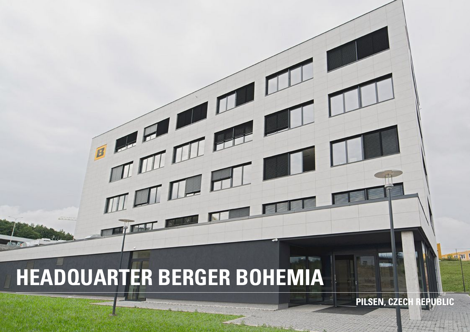# **HEADQUARTER BERGER BOHEMIA**

**PILSEN, CZECH REPUBLIC**

**IF. 11 M**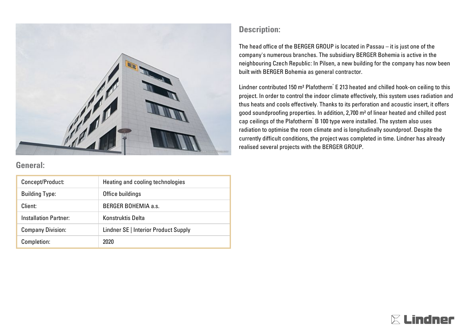

#### **General:**

| Concept/Product:         | Heating and cooling technologies     |
|--------------------------|--------------------------------------|
| <b>Building Type:</b>    | Office buildings                     |
| Client:                  | <b>BERGER BOHEMIA a.s.</b>           |
| Installation Partner:    | Konstruktis Delta                    |
| <b>Company Division:</b> | Lindner SE   Interior Product Supply |
| Completion:              | 2020                                 |

### **Description:**

The head office of the BERGER GROUP is located in Passau – it is just one of the company's numerous branches. The subsidiary BERGER Bohemia is active in the neighbouring Czech Republic: In Pilsen, a new building for the company has now been built with BERGER Bohemia as general contractor.

Lindner contributed 150 m<sup>2</sup> Plafotherm<sup>®</sup> E 213 heated and chilled hook-on ceiling to this project. In order to control the indoor climate effectively, this system uses radiation and thus heats and cools effectively. Thanks to its perforation and acoustic insert, it offers good soundproofing properties. In addition, 2,700 m² of linear heated and chilled post cap ceilings of the Plafotherm<sup>®</sup> B 100 type were installed. The system also uses radiation to optimise the room climate and is longitudinally soundproof. Despite the currently difficult conditions, the project was completed in time. Lindner has already realised several projects with the BERGER GROUP.

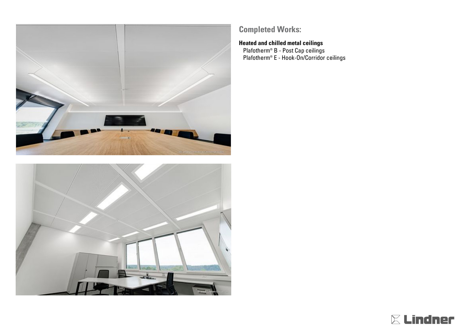



## **Completed Works:**

#### **Heated and chilled metal ceilings** Plafotherm® B - Post Cap ceilings Plafotherm® E - Hook-On/Corridor ceilings

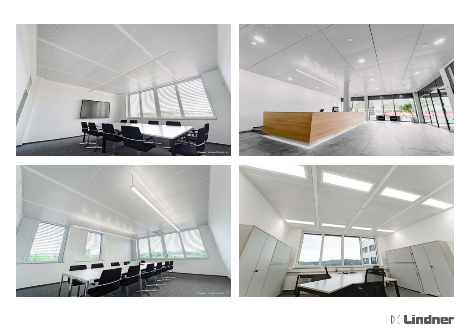

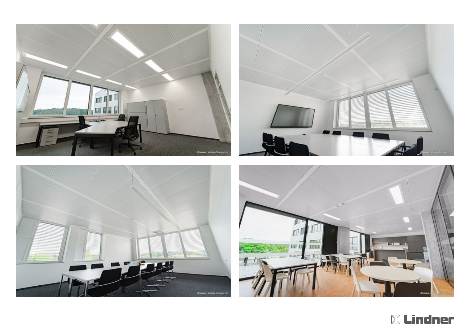







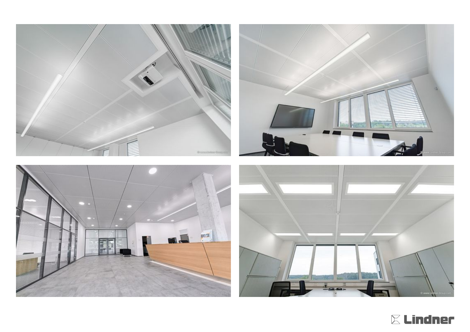